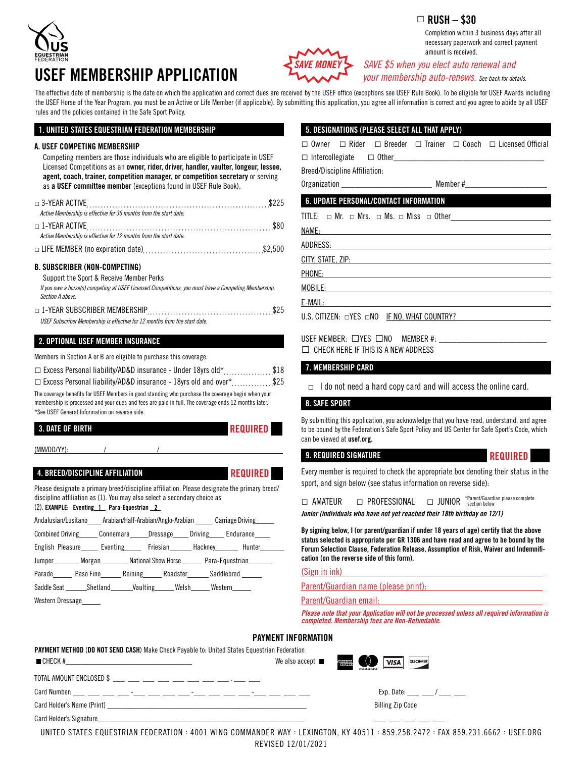

# USEF MEMBERSHIP APPLICATION *SAVE MONEY SAVE \$5 when you elect auto renewal and*



 *your membership auto-renews. See back for details.* amount is received.

Completion within 3 business days after all necessary paperwork and correct payment

The effective date of membership is the date on which the application and correct dues are received by the USEF office (exceptions see USEF Rule Book). To be eligible for USEF Awards including the USEF Horse of the Year Program, you must be an Active or Life Member (if applicable). By submitting this application, you agree all information is correct and you agree to abide by all USEF rules and the policies contained in the Safe Sport Policy.

# 1. UNITED STATES EQUESTRIAN FEDERATION MEMBERSHIP

## A. USEF COMPETING MEMBERSHIP

| Competing members are those individuals who are eligible to participate in USEF<br>Licensed Competitions as an <b>owner, rider, driver, handler, vaulter, longeur, lessee,</b><br>agent, coach, trainer, competition manager, or competition secretary or serving<br>as a USEF committee member (exceptions found in USEF Rule Book). |
|---------------------------------------------------------------------------------------------------------------------------------------------------------------------------------------------------------------------------------------------------------------------------------------------------------------------------------------|
| Active Membership is effective for 36 months from the start date.                                                                                                                                                                                                                                                                     |
| Active Membership is effective for 12 months from the start date.                                                                                                                                                                                                                                                                     |
|                                                                                                                                                                                                                                                                                                                                       |
| <b>B. SUBSCRIBER (NON-COMPETING)</b><br>Support the Sport & Receive Member Perks<br>If you own a horse(s) competing at USEF Licensed Competitions, you must have a Competing Membership,<br>Section A above.                                                                                                                          |
| USEF Subscriber Membership is effective for 12 months from the start date.                                                                                                                                                                                                                                                            |
| 2. OPTIONAL USEF MEMBER INSURANCE                                                                                                                                                                                                                                                                                                     |
| Members in Section A or B are eligible to purchase this coverage.                                                                                                                                                                                                                                                                     |
| 18\$\$18                                                                                                                                                                                                                                                                                                                              |

 $\Box$  Excess Personal liability/AD&D insurance - 18yrs old and over\*..............\$25

The coverage benefits for USEF Members in good standing who purchase the coverage begin when your membership is processed and your dues and fees are paid in full. The coverage ends 12 months later. \*See USEF General Information on reverse side.

# 3. DATE OF BIRTH

 $(MM/DD/YY)$ 

# 4. BREED/DISCIPLINE AFFILIATION **Example 20** REQUIRED

Please designate a primary breed/discipline affiliation. Please designate the primary breed/ discipline affiliation as (1). You may also select a secondary choice as (2). EXAMPLE: Eventing 1 Para-Equestrian 2

| Andalusian/Lusitano Arabian/Half-Arabian/Anglo-Arabian Carriage Driving |                                                       |  |  |  |  |
|-------------------------------------------------------------------------|-------------------------------------------------------|--|--|--|--|
|                                                                         | Combined Driving Connemara Dressage Driving Endurance |  |  |  |  |
|                                                                         | English Pleasure Liventing Friesian Hackney Hunter    |  |  |  |  |
|                                                                         | Jumper Morgan National Show Horse Para-Equestrian     |  |  |  |  |
|                                                                         | Parade Paso Fino Reining Roadster Saddlebred          |  |  |  |  |
|                                                                         | Saddle Seat Shetland Vaulting Welsh Western           |  |  |  |  |

Western Dressage

# 5. DESIGNATIONS (PLEASE SELECT ALL THAT APPLY)

|  |  |  |  |  | $\Box$ Owner $\Box$ Rider $\Box$ Breeder $\Box$ Trainer $\Box$ Coach $\Box$ Licensed Official |
|--|--|--|--|--|-----------------------------------------------------------------------------------------------|
|--|--|--|--|--|-----------------------------------------------------------------------------------------------|

 $\Box$  Intercollegiate  $\Box$  Other\_

Breed/Discipline Affiliation:

Organization \_\_\_\_\_\_\_\_\_\_\_\_\_\_\_\_\_\_\_\_\_ Member #\_\_\_\_\_\_\_\_\_\_\_\_\_\_\_\_\_\_\_

# 6. UPDATE PERSONAL/CONTACT INFORMATION

TITLE:  $\Box$  Mr.  $\Box$  Mrs.  $\Box$  Ms.  $\Box$  Miss  $\Box$  Other

NAME:

ADDRESS:

CITY, STATE, ZIP:

PHONE:

MOBILE:

E-MAIL: U.S. CITIZEN: □YES □NO IF NO, WHAT COUNTRY?

USEF MEMBER:  $\Box$  YES  $\Box$  NO MEMBER #:

 $\Box$  CHECK HERE IF THIS IS A NEW ADDRESS

# 7. MEMBERSHIP CARD

 $\Box$  I do not need a hard copy card and will access the online card.

# 8. SAFE SPORT

By submitting this application, you acknowledge that you have read, understand, and agree to be bound by the Federation's Safe Sport Policy and US Center for Safe Sport's Code, which can be viewed at usef.org.

# 9. REQUIRED SIGNATURE REQUIRED

Every member is required to check the appropriate box denoting their status in the sport, and sign below (see status information on reverse side):

|  | $\Box$ amateur | D PROFESSIONAL | $\Box$ JUNIOR | *Parent/Guardian please complete<br>section below |
|--|----------------|----------------|---------------|---------------------------------------------------|
|--|----------------|----------------|---------------|---------------------------------------------------|

*Junior (individuals who have not yet reached their 18th birthday on 12/1)*

By signing below, I (or parent/guardian if under 18 years of age) certify that the above status selected is appropriate per GR 1306 and have read and agree to be bound by the Forum Selection Clause, Federation Release, Assumption of Risk, Waiver and Indemnification (on the reverse side of this form).

#### (Sign in ink)

Parent/Guardian name (please print):

Parent/Guardian email:

*Please note that your Application will not be processed unless all required information is completed. Membership fees are Non-Refundable.*

# PAYMENT INFORMATION

| PAYMENT METHOD (DO NOT SEND CASH) Make Check Payable to: United States Equestrian Federation                   |                               |                                                                                                                                                                                                                                |  |  |  |
|----------------------------------------------------------------------------------------------------------------|-------------------------------|--------------------------------------------------------------------------------------------------------------------------------------------------------------------------------------------------------------------------------|--|--|--|
| $CHECK$ #                                                                                                      | We also accept $\blacksquare$ | $\overline{0}$<br><b>AMURICAN</b><br>Echaess<br>VISA<br><b>DISCOVER</b>                                                                                                                                                        |  |  |  |
|                                                                                                                |                               |                                                                                                                                                                                                                                |  |  |  |
| Card Number: ___ ___ ___ ___ -__ -__ ___ ___ ___ -__ -__ ___ ___ ___ -__ -__ -___ ___                          |                               | Exp. Date: The Manuscription of the Manuscription of the Manuscription of the Manuscription of the Manuscription of the Manuscription of the Manuscription of the Manuscription of the Manuscription of the Manuscription of t |  |  |  |
| Card Holder's Name (Print) Card 2014 12:00 12:00 12:00 12:00 12:00 12:00 12:00 12:00 12:00 12:00 12:00 12:00 1 |                               | <b>Billing Zip Code</b>                                                                                                                                                                                                        |  |  |  |
| Card Holder's Signature                                                                                        |                               |                                                                                                                                                                                                                                |  |  |  |

UNITED STATES EQUESTRIAN FEDERATION : 4001 WING COMMANDER WAY : LEXINGTON, KY 40511 : 859.258.2472 : FAX 859.231.6662 : USEF.ORG REVISED 12/01/2021 Card Holder's Signature\_\_\_\_\_\_\_\_\_\_\_\_\_\_\_\_\_\_\_\_\_\_\_\_\_\_\_\_\_\_\_\_\_\_\_\_\_\_\_\_\_\_\_\_\_\_\_\_\_\_\_\_\_\_ \_\_\_ \_\_\_ \_\_\_ \_\_\_ \_\_\_

# $\Box$  RUSH – \$30